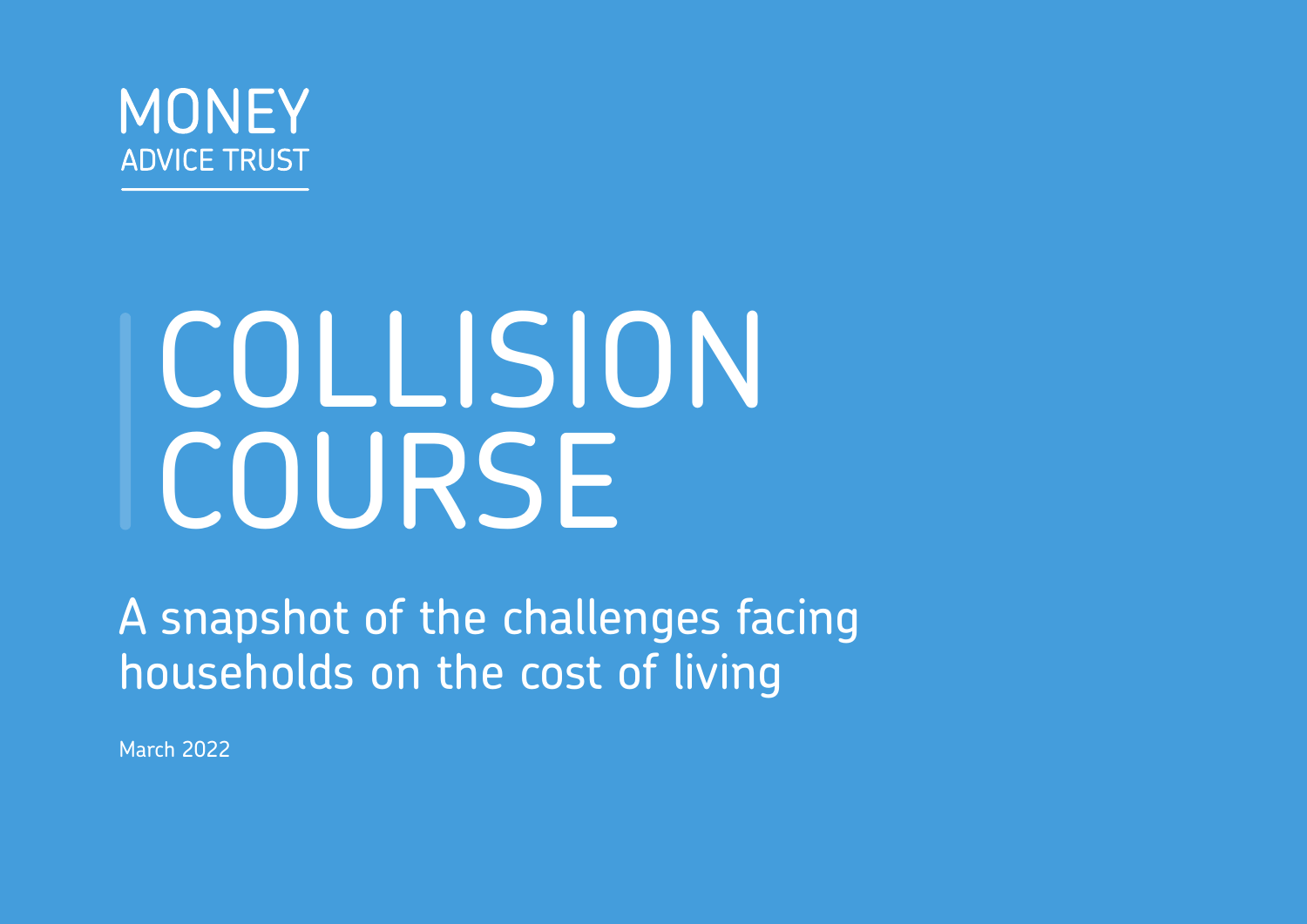

# COLLISION COURSE

A snapshot of the challenges facing households on the cost of living

March 2022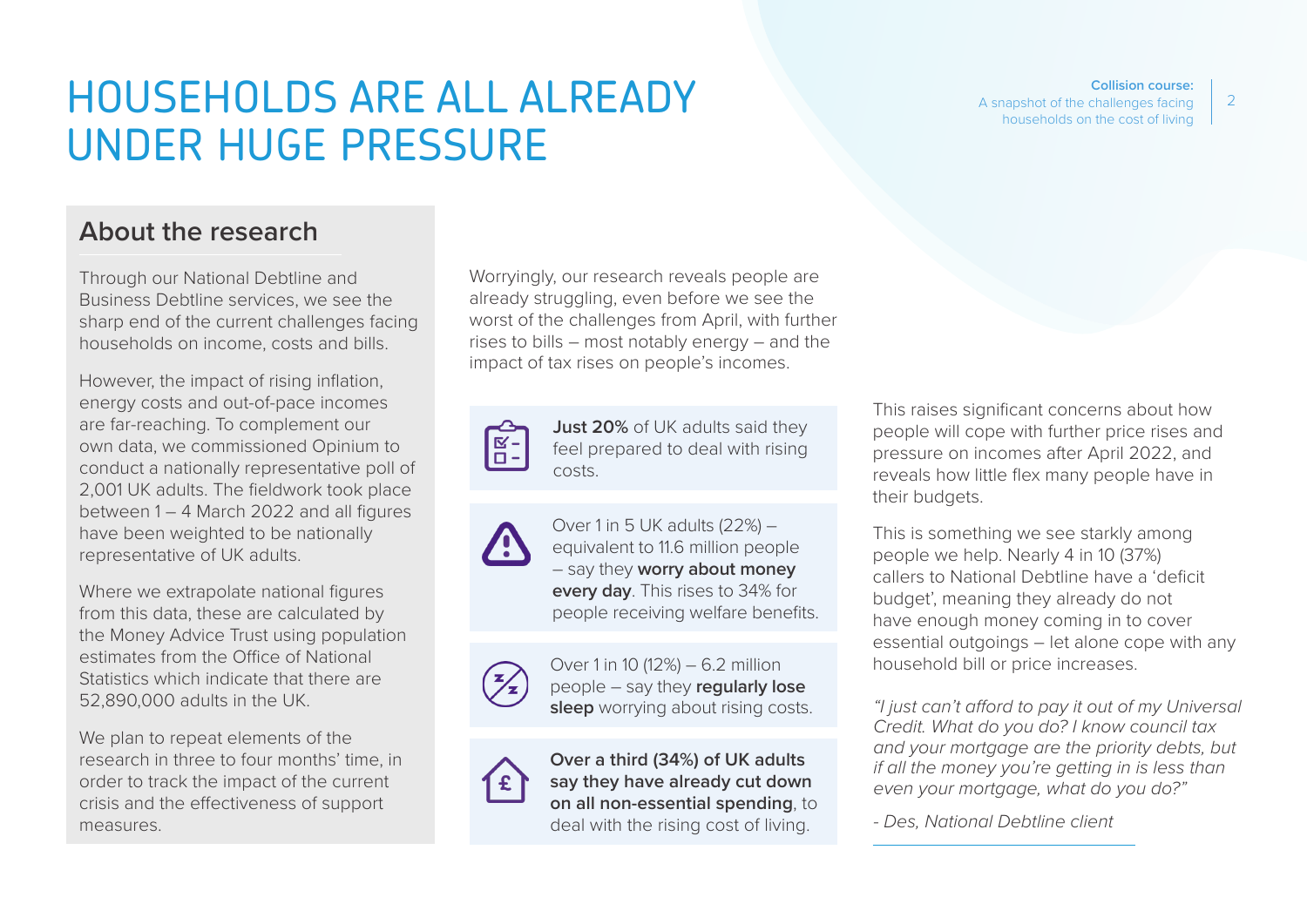## HOUSEHOLDS ARE ALL ALREADY UNDER HUGE PRESSURE

#### **Collision course:**

A snapshot of the challenges facing households on the cost of living

### **About the research**

Through our National Debtline and Business Debtline services, we see the sharp end of the current challenges facing households on income, costs and bills.

However, the impact of rising inflation, energy costs and out-of-pace incomes are far-reaching. To complement our own data, we commissioned Opinium to conduct a nationally representative poll of 2,001 UK adults. The fieldwork took place between 1 – 4 March 2022 and all figures have been weighted to be nationally representative of UK adults.

Where we extrapolate national figures from this data, these are calculated by the Money Advice Trust using population estimates from the Office of National Statistics which indicate that there are 52,890,000 adults in the UK.

We plan to repeat elements of the research in three to four months' time, in order to track the impact of the current crisis and the effectiveness of support measures.

Worryingly, our research reveals people are already struggling, even before we see the worst of the challenges from April, with further rises to bills – most notably energy – and the impact of tax rises on people's incomes.



**Just 20%** of UK adults said they feel prepared to deal with rising costs.

Over 1 in 5 UK adults (22%) – equivalent to 11.6 million people – say they **worry about money every day**. This rises to 34% for people receiving welfare benefits.



Over 1 in 10 (12%) – 6.2 million people – say they **regularly lose sleep** worrying about rising costs.



**Over a third (34%) of UK adults say they have already cut down on all non-essential spending**, to deal with the rising cost of living.

This raises significant concerns about how people will cope with further price rises and pressure on incomes after April 2022, and reveals how little flex many people have in their budgets.

This is something we see starkly among people we help. Nearly 4 in 10 (37%) callers to National Debtline have a 'deficit budget', meaning they already do not have enough money coming in to cover essential outgoings – let alone cope with any household bill or price increases.

*"I just can't afford to pay it out of my Universal Credit. What do you do? I know council tax and your mortgage are the priority debts, but if all the money you're getting in is less than even your mortgage, what do you do?"* 

*- Des, National Debtline client*

2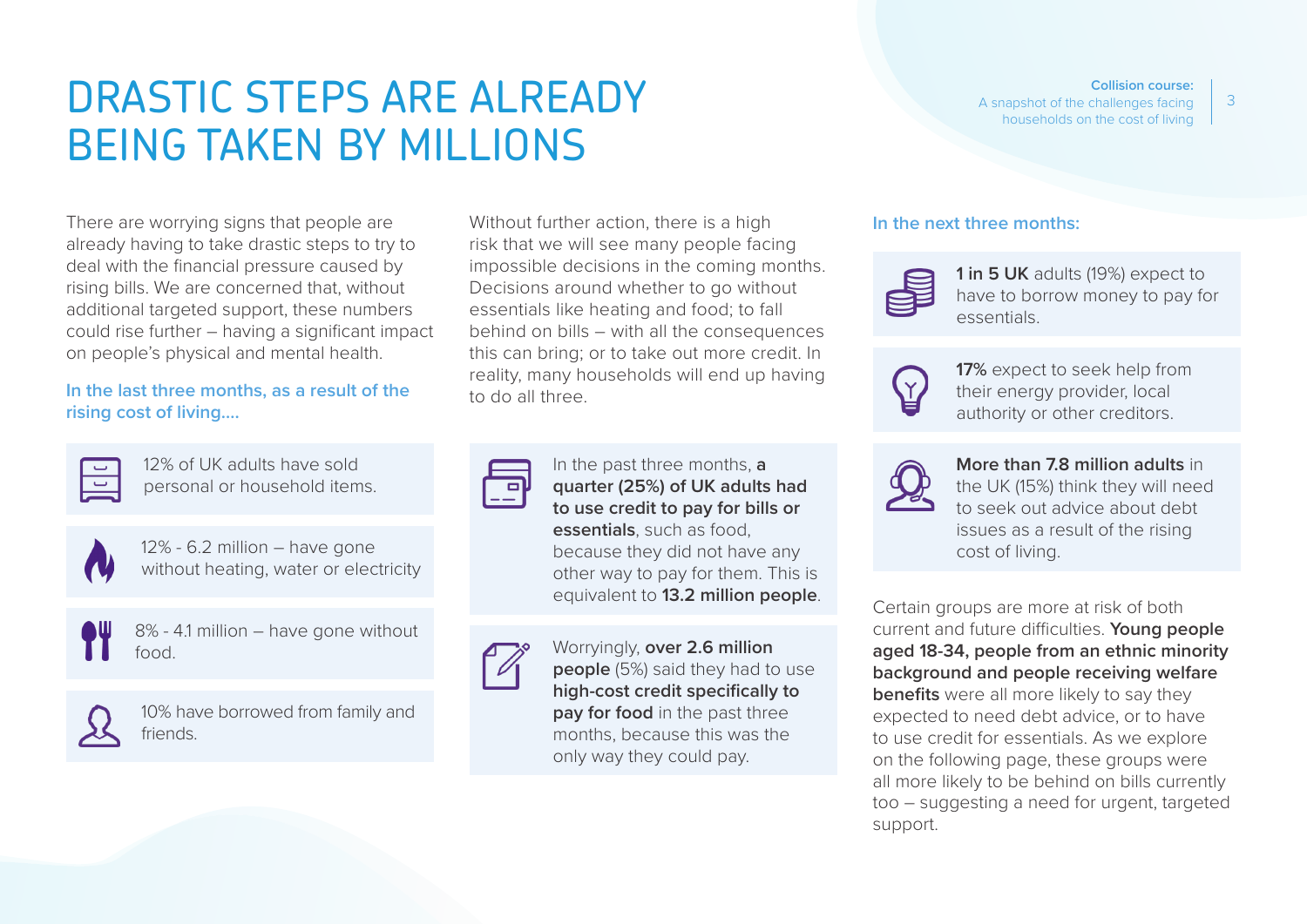## DRASTIC STEPS ARE ALREADY BEING TAKEN BY MILLIONS

There are worrying signs that people are already having to take drastic steps to try to deal with the financial pressure caused by rising bills. We are concerned that, without additional targeted support, these numbers could rise further – having a significant impact on people's physical and mental health.

#### **In the last three months, as a result of the rising cost of living….**

12% of UK adults have sold personal or household items.



12% - 6.2 million – have gone without heating, water or electricity



8% - 4.1 million – have gone without food.



10% have borrowed from family and friends.

Without further action, there is a high risk that we will see many people facing impossible decisions in the coming months. Decisions around whether to go without essentials like heating and food; to fall behind on bills – with all the consequences this can bring; or to take out more credit. In reality, many households will end up having to do all three.



In the past three months, **a quarter (25%) of UK adults had to use credit to pay for bills or essentials**, such as food, because they did not have any other way to pay for them. This is equivalent to **13.2 million people**.

Worryingly, **over 2.6 million people** (5%) said they had to use **high-cost credit specifically to pay for food** in the past three months, because this was the only way they could pay.

#### **Collision course:**

A snapshot of the challenges facing households on the cost of living

#### **In the next three months:**



**1 in 5 UK** adults (19%) expect to have to borrow money to pay for essentials.



**17%** expect to seek help from their energy provider, local authority or other creditors.



#### **More than 7.8 million adults** in

the UK (15%) think they will need to seek out advice about debt issues as a result of the rising cost of living.

Certain groups are more at risk of both current and future difficulties. **Young people aged 18-34, people from an ethnic minority background and people receiving welfare benefits** were all more likely to say they expected to need debt advice, or to have to use credit for essentials. As we explore on the following page, these groups were all more likely to be behind on bills currently too – suggesting a need for urgent, targeted support.

3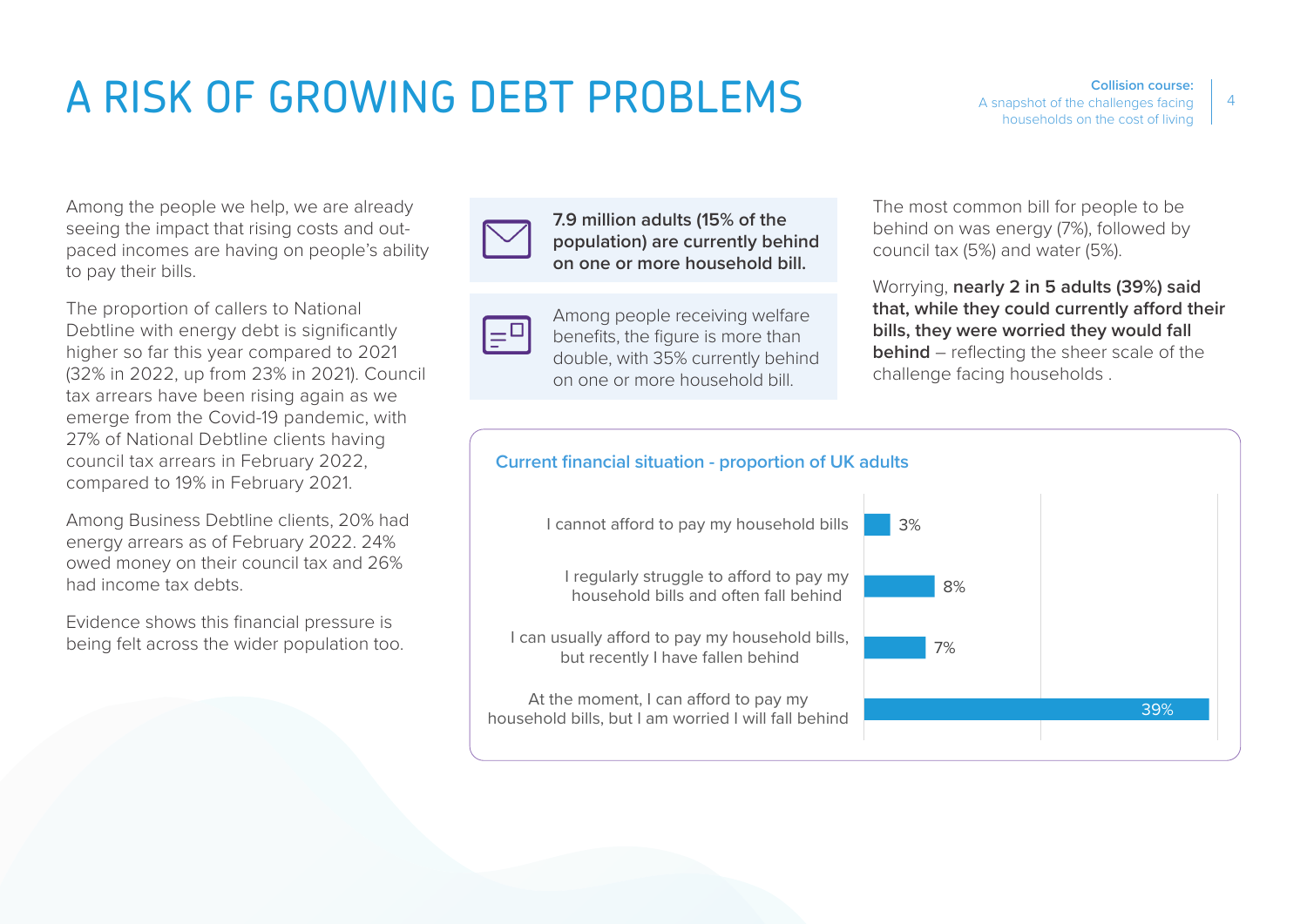## A RISK OF GROWING DEBT PROBLEMS

Among the people we help, we are already seeing the impact that rising costs and outpaced incomes are having on people's ability to pay their bills.

The proportion of callers to National Debtline with energy debt is significantly higher so far this year compared to 2021 (32% in 2022, up from 23% in 2021). Council tax arrears have been rising again as we emerge from the Covid-19 pandemic, with 27% of National Debtline clients having council tax arrears in February 2022, compared to 19% in February 2021.

Among Business Debtline clients, 20% had energy arrears as of February 2022. 24% owed money on their council tax and 26% had income tax debts.

Evidence shows this financial pressure is being felt across the wider population too.



**7.9 million adults (15% of the population) are currently behind on one or more household bill.**



Among people receiving welfare benefits, the figure is more than double, with 35% currently behind on one or more household bill.

The most common bill for people to be behind on was energy (7%), followed by council tax (5%) and water (5%).

Worrying, **nearly 2 in 5 adults (39%) said that, while they could currently afford their bills, they were worried they would fall behind** – reflecting the sheer scale of the challenge facing households .